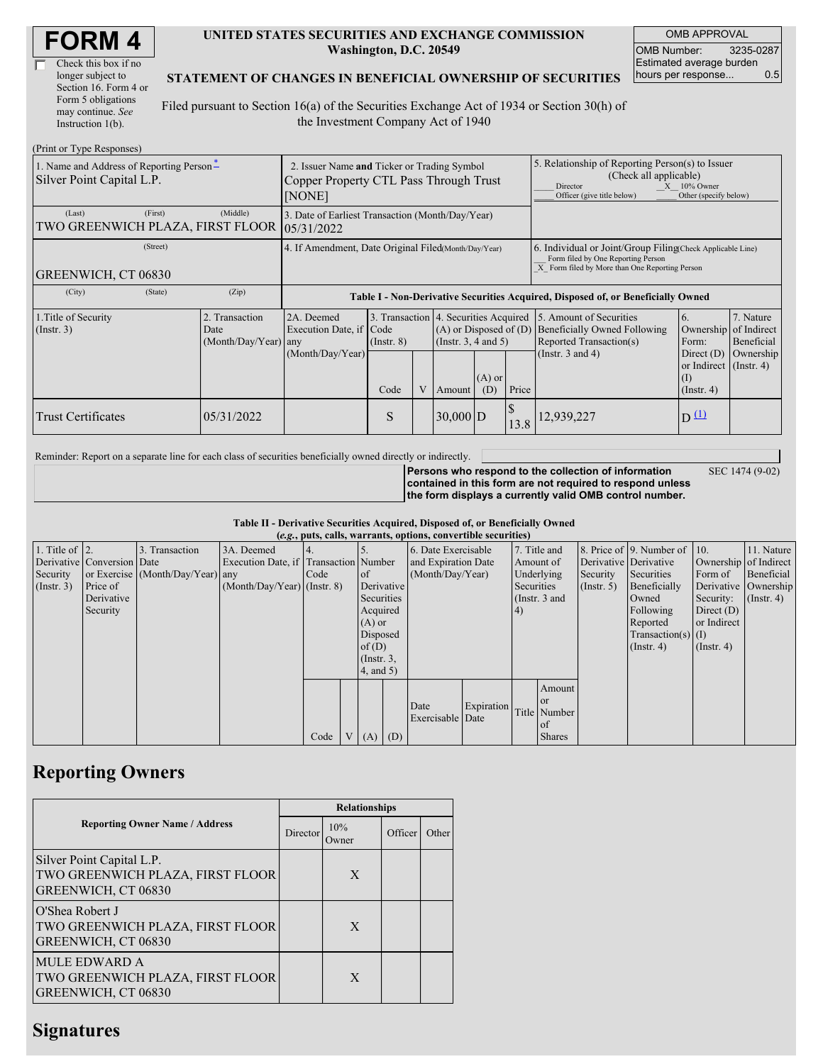| <b>FORM4</b> |
|--------------|
|--------------|

| Check this box if no  |
|-----------------------|
| longer subject to     |
| Section 16. Form 4 or |
| Form 5 obligations    |
| may continue. See     |
| Instruction 1(b).     |

#### **UNITED STATES SECURITIES AND EXCHANGE COMMISSION Washington, D.C. 20549**

OMB APPROVAL OMB Number: 3235-0287 Estimated average burden hours per response... 0.5

#### **STATEMENT OF CHANGES IN BENEFICIAL OWNERSHIP OF SECURITIES**

Filed pursuant to Section 16(a) of the Securities Exchange Act of 1934 or Section 30(h) of the Investment Company Act of 1940

| (Print or Type Responses)                                             |                                                                                                 |                                                |                                                                                  |                                                                  |  |                                                              |                                                                                                                                                                   |            |                                                                                                                                                    |                                                                                                              |                                      |
|-----------------------------------------------------------------------|-------------------------------------------------------------------------------------------------|------------------------------------------------|----------------------------------------------------------------------------------|------------------------------------------------------------------|--|--------------------------------------------------------------|-------------------------------------------------------------------------------------------------------------------------------------------------------------------|------------|----------------------------------------------------------------------------------------------------------------------------------------------------|--------------------------------------------------------------------------------------------------------------|--------------------------------------|
| 1. Name and Address of Reporting Person-<br>Silver Point Capital L.P. | 2. Issuer Name and Ticker or Trading Symbol<br>Copper Property CTL Pass Through Trust<br>[NONE] |                                                |                                                                                  |                                                                  |  |                                                              | 5. Relationship of Reporting Person(s) to Issuer<br>(Check all applicable)<br>$X = 10\%$ Owner<br>Director<br>Other (specify below)<br>Officer (give title below) |            |                                                                                                                                                    |                                                                                                              |                                      |
| (Last)<br>TWO GREENWICH PLAZA, FIRST FLOOR                            | (First)                                                                                         | (Middle)                                       | 3. Date of Earliest Transaction (Month/Day/Year)<br>05/31/2022                   |                                                                  |  |                                                              |                                                                                                                                                                   |            |                                                                                                                                                    |                                                                                                              |                                      |
| (Street)<br>GREENWICH, CT 06830                                       |                                                                                                 |                                                | 4. If Amendment, Date Original Filed(Month/Day/Year)                             |                                                                  |  |                                                              |                                                                                                                                                                   |            | 6. Individual or Joint/Group Filing Check Applicable Line)<br>Form filed by One Reporting Person<br>X Form filed by More than One Reporting Person |                                                                                                              |                                      |
| (City)                                                                | (State)                                                                                         | (Zip)                                          | Table I - Non-Derivative Securities Acquired, Disposed of, or Beneficially Owned |                                                                  |  |                                                              |                                                                                                                                                                   |            |                                                                                                                                                    |                                                                                                              |                                      |
| 1. Title of Security<br>$($ Instr. 3 $)$                              |                                                                                                 | 2. Transaction<br>Date<br>(Month/Day/Year) any | 2A. Deemed<br>Execution Date, if Code<br>(Month/Day/Year)                        | 3. Transaction 4. Securities Acquired<br>$($ Instr. $8)$<br>Code |  | $(A)$ or Disposed of $(D)$<br>(Insert. 3, 4 and 5)<br>Amount | $(A)$ or<br>(D)                                                                                                                                                   | Price      | 5. Amount of Securities<br><b>Beneficially Owned Following</b><br>Reported Transaction(s)<br>(Instr. $3$ and $4$ )                                 | 6.<br>Ownership of Indirect<br>Form:<br>Direct $(D)$<br>or Indirect (Instr. 4)<br>$($ I)<br>$($ Instr. 4 $)$ | 7. Nature<br>Beneficial<br>Ownership |
| <b>Trust Certificates</b>                                             |                                                                                                 | 05/31/2022                                     |                                                                                  | S                                                                |  | $30,000$ D                                                   |                                                                                                                                                                   | \$<br>13.8 | 12,939,227                                                                                                                                         | D(1)                                                                                                         |                                      |

Reminder: Report on a separate line for each class of securities beneficially owned directly or indirectly.

**Persons who respond to the collection of information contained in this form are not required to respond unless the form displays a currently valid OMB control number.** SEC 1474 (9-02)

**Table II - Derivative Securities Acquired, Disposed of, or Beneficially Owned**

| (e.g., puts, calls, warrants, options, convertible securities) |                            |                                  |                                       |      |          |                  |            |                     |            |              |                  |                       |                              |                      |                       |
|----------------------------------------------------------------|----------------------------|----------------------------------|---------------------------------------|------|----------|------------------|------------|---------------------|------------|--------------|------------------|-----------------------|------------------------------|----------------------|-----------------------|
| 1. Title of $\vert$ 2.                                         |                            | 3. Transaction                   | 3A. Deemed                            |      |          |                  |            | 6. Date Exercisable |            | 7. Title and |                  |                       | 8. Price of 9. Number of 10. |                      | 11. Nature            |
|                                                                | Derivative Conversion Date |                                  | Execution Date, if Transaction Number |      |          |                  |            | and Expiration Date |            | Amount of    |                  | Derivative Derivative |                              |                      | Ownership of Indirect |
| Security                                                       |                            | or Exercise (Month/Day/Year) any |                                       | Code |          | <sub>of</sub>    |            | (Month/Day/Year)    |            | Underlying   |                  | Security              | Securities                   | Form of              | Beneficial            |
| $($ Instr. 3 $)$                                               | Price of                   |                                  | $(Month/Day/Year)$ (Instr. 8)         |      |          |                  | Derivative |                     | Securities |              | $($ Instr. 5 $)$ | Beneficially          |                              | Derivative Ownership |                       |
|                                                                | Derivative                 |                                  |                                       |      |          | Securities       |            | (Instr. 3 and       |            |              | Owned            | Security:             | $($ Instr. 4)                |                      |                       |
|                                                                | Security                   |                                  |                                       |      |          | Acquired         |            |                     | (4)        |              |                  | Following             | Direct $(D)$                 |                      |                       |
|                                                                |                            |                                  |                                       |      |          | $(A)$ or         |            |                     |            |              |                  | Reported              | or Indirect                  |                      |                       |
|                                                                |                            |                                  |                                       |      | Disposed |                  |            |                     |            |              |                  |                       | $Transaction(s)$ (I)         |                      |                       |
|                                                                |                            |                                  |                                       |      |          | of(D)            |            |                     |            |              |                  |                       | $($ Instr. 4 $)$             | $($ Instr. 4 $)$     |                       |
|                                                                |                            |                                  |                                       |      |          | $($ Instr. $3$ , |            |                     |            |              |                  |                       |                              |                      |                       |
|                                                                |                            |                                  |                                       |      |          | $4$ , and $5$ )  |            |                     |            |              |                  |                       |                              |                      |                       |
|                                                                |                            |                                  |                                       |      |          |                  |            |                     |            |              | Amount           |                       |                              |                      |                       |
|                                                                |                            |                                  |                                       |      |          |                  |            | Date                | Expiration |              | <sub>or</sub>    |                       |                              |                      |                       |
|                                                                |                            |                                  |                                       |      |          |                  |            | Exercisable Date    |            |              | Title Number     |                       |                              |                      |                       |
|                                                                |                            |                                  |                                       |      |          |                  |            |                     |            |              | of               |                       |                              |                      |                       |
|                                                                |                            |                                  |                                       | Code | V        | $(A)$ $(D)$      |            |                     |            |              | <b>Shares</b>    |                       |                              |                      |                       |

## **Reporting Owners**

|                                                                                      | <b>Relationships</b> |               |         |       |  |  |  |  |
|--------------------------------------------------------------------------------------|----------------------|---------------|---------|-------|--|--|--|--|
| <b>Reporting Owner Name / Address</b>                                                | Director             | 10%<br>Owner) | Officer | Other |  |  |  |  |
| Silver Point Capital L.P.<br>TWO GREENWICH PLAZA, FIRST FLOOR<br>GREENWICH, CT 06830 |                      | X             |         |       |  |  |  |  |
| O'Shea Robert J<br>TWO GREENWICH PLAZA, FIRST FLOOR<br>GREENWICH, CT 06830           |                      | X             |         |       |  |  |  |  |
| <b>MULE EDWARD A</b><br>TWO GREENWICH PLAZA, FIRST FLOOR<br>GREENWICH, CT 06830      |                      | X             |         |       |  |  |  |  |

### **Signatures**